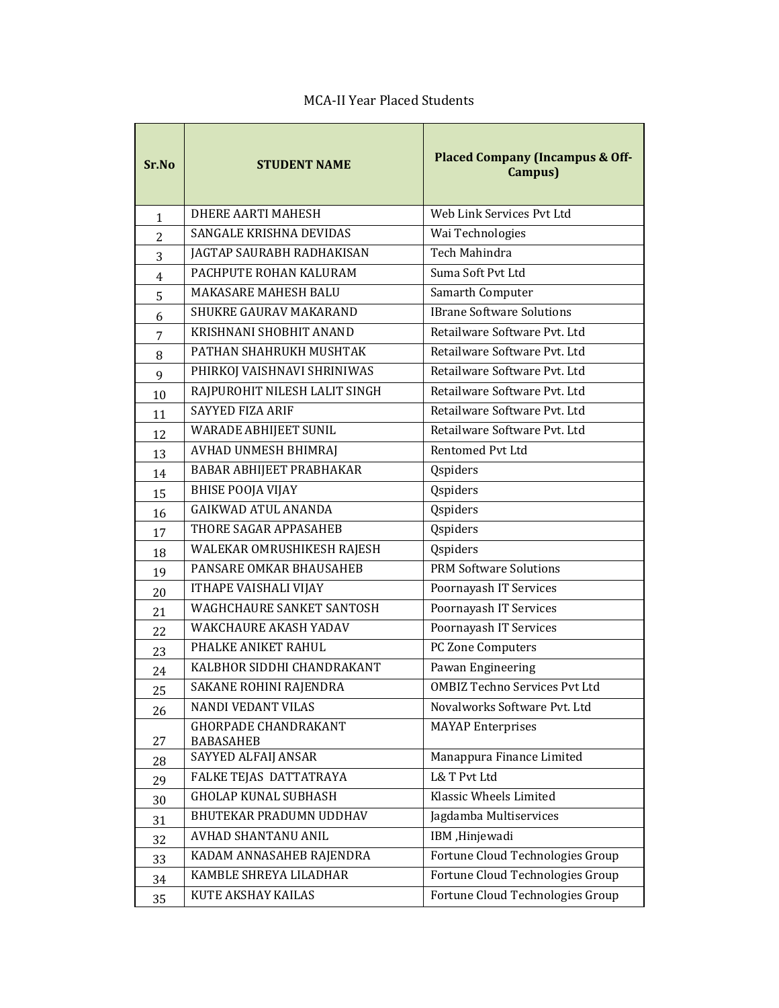| Sr.No          | <b>STUDENT NAME</b>                             | <b>Placed Company (Incampus &amp; Off-</b><br>Campus) |
|----------------|-------------------------------------------------|-------------------------------------------------------|
| $\mathbf{1}$   | <b>DHERE AARTI MAHESH</b>                       | Web Link Services Pvt Ltd                             |
| $\overline{2}$ | SANGALE KRISHNA DEVIDAS                         | Wai Technologies                                      |
| 3              | JAGTAP SAURABH RADHAKISAN                       | Tech Mahindra                                         |
| $\overline{4}$ | PACHPUTE ROHAN KALURAM                          | Suma Soft Pvt Ltd                                     |
| 5              | <b>MAKASARE MAHESH BALU</b>                     | Samarth Computer                                      |
| 6              | SHUKRE GAURAV MAKARAND                          | <b>IBrane Software Solutions</b>                      |
| 7              | KRISHNANI SHOBHIT ANAND                         | Retailware Software Pvt. Ltd                          |
| 8              | PATHAN SHAHRUKH MUSHTAK                         | Retailware Software Pvt. Ltd                          |
| 9              | PHIRKOJ VAISHNAVI SHRINIWAS                     | Retailware Software Pvt. Ltd                          |
| 10             | RAJPUROHIT NILESH LALIT SINGH                   | Retailware Software Pvt. Ltd                          |
| 11             | SAYYED FIZA ARIF                                | Retailware Software Pvt. Ltd                          |
| 12             | <b>WARADE ABHIJEET SUNIL</b>                    | Retailware Software Pvt. Ltd                          |
| 13             | AVHAD UNMESH BHIMRAJ                            | Rentomed Pvt Ltd                                      |
| 14             | BABAR ABHIJEET PRABHAKAR                        | Qspiders                                              |
| 15             | <b>BHISE POOJA VIJAY</b>                        | Qspiders                                              |
| 16             | <b>GAIKWAD ATUL ANANDA</b>                      | Qspiders                                              |
| 17             | THORE SAGAR APPASAHEB                           | Qspiders                                              |
| 18             | WALEKAR OMRUSHIKESH RAJESH                      | Qspiders                                              |
| 19             | PANSARE OMKAR BHAUSAHEB                         | <b>PRM Software Solutions</b>                         |
| 20             | ITHAPE VAISHALI VIJAY                           | Poornayash IT Services                                |
| 21             | <b>WAGHCHAURE SANKET SANTOSH</b>                | Poornayash IT Services                                |
| 22             | <b>WAKCHAURE AKASH YADAV</b>                    | Poornayash IT Services                                |
| 23             | PHALKE ANIKET RAHUL                             | PC Zone Computers                                     |
| 24             | KALBHOR SIDDHI CHANDRAKANT                      | Pawan Engineering                                     |
| 25             | SAKANE ROHINI RAJENDRA                          | <b>OMBIZ Techno Services Pvt Ltd</b>                  |
| 26             | NANDI VEDANT VILAS                              | Novalworks Software Pvt. Ltd                          |
| 27             | <b>GHORPADE CHANDRAKANT</b><br><b>BABASAHEB</b> | <b>MAYAP</b> Enterprises                              |
| 28             | SAYYED ALFAIJ ANSAR                             | Manappura Finance Limited                             |
| 29             | FALKE TEJAS DATTATRAYA                          | <b>L&amp; T Pvt Ltd</b>                               |
| 30             | <b>GHOLAP KUNAL SUBHASH</b>                     | Klassic Wheels Limited                                |
| 31             | BHUTEKAR PRADUMN UDDHAV                         | Jagdamba Multiservices                                |
| 32             | AVHAD SHANTANU ANIL                             | IBM ,Hinjewadi                                        |
| 33             | KADAM ANNASAHEB RAJENDRA                        | Fortune Cloud Technologies Group                      |
| 34             | KAMBLE SHREYA LILADHAR                          | Fortune Cloud Technologies Group                      |
| 35             | KUTE AKSHAY KAILAS                              | Fortune Cloud Technologies Group                      |

## MCA-II Year Placed Students